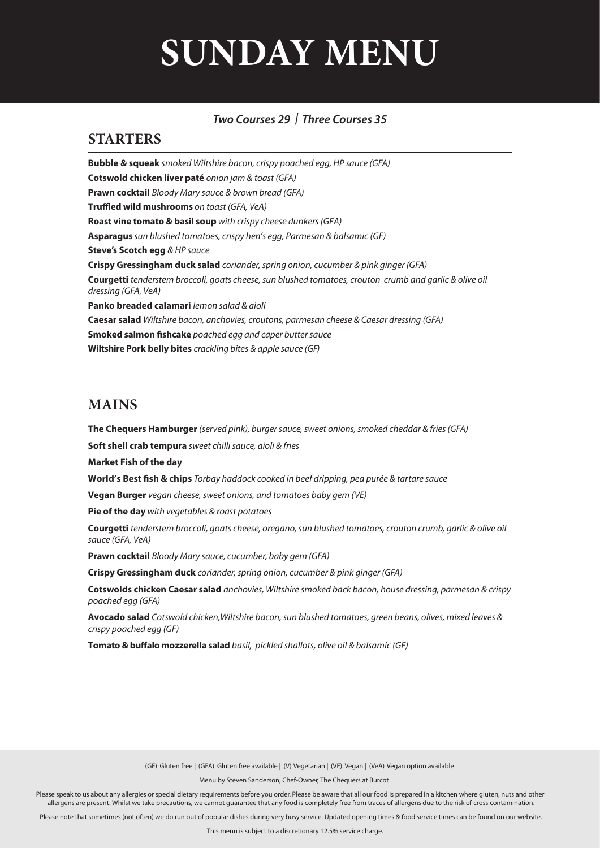# **SUNDAY MENU**

#### *Two Courses 29 | Three Courses 35*

#### **STARTERS**

**Bubble & squeak** *smoked Wiltshire bacon, crispy poached egg, HP sauce (GFA)* **Cotswold chicken liver paté** *onion jam & toast (GFA)* **Prawn cocktail** *Bloody Mary sauce & brown bread (GFA)* **Truffled wild mushrooms** on toast (GFA, VeA) **Roast vine tomato & basil soup** *with crispy cheese dunkers (GFA)*  **Asparagus** *sun blushed tomatoes, crispy hen's egg, Parmesan & balsamic (GF)*  **Steve's Scotch egg** *& HP sauce* **Crispy Gressingham duck salad** *coriander, spring onion, cucumber & pink ginger (GFA)* **Courgetti** *tenderstem broccoli, goats cheese, sun blushed tomatoes, crouton crumb and garlic & olive oil dressing (GFA, VeA)*  **Panko breaded calamari** *lemon salad & aioli* **Caesar salad** *Wiltshire bacon, anchovies, croutons, parmesan cheese & Caesar dressing (GFA)* **Smoked salmon fishcake** *poached egg and caper butter sauce* **Wiltshire Pork belly bites** *crackling bites & apple sauce (GF)*

#### **MAINS**

**The Chequers Hamburger** *(served pink), burger sauce, sweet onions, smoked cheddar & fries (GFA)*

**Soft shell crab tempura** *sweet chilli sauce, aioli & fries*

**Market Fish of the day**

World's Best fish & chips *Torbay haddock cooked in beef dripping, pea purée & tartare sauce* 

**Vegan Burger** *vegan cheese, sweet onions, and tomatoes baby gem (VE)*

**Pie of the day** *with vegetables & roast potatoes*

**Courgetti** *tenderstem broccoli, goats cheese, oregano, sun blushed tomatoes, crouton crumb, garlic & olive oil sauce (GFA, VeA)* 

**Prawn cocktail** *Bloody Mary sauce, cucumber, baby gem (GFA)*

**Crispy Gressingham duck** *coriander, spring onion, cucumber & pink ginger (GFA)*

**Cotswolds chicken Caesar salad** *anchovies, Wiltshire smoked back bacon, house dressing, parmesan & crispy poached egg (GFA)* 

**Avocado salad** *Cotswold chicken,Wiltshire bacon, sun blushed tomatoes, green beans, olives, mixed leaves & crispy poached egg (GF)* 

**Tomato & buffalo mozzerella salad** *basil, pickled shallots, olive oil & balsamic (GF)* 

(GF) Gluten free | (GFA) Gluten free available | (V) Vegetarian | (VE) Vegan | (VeA) Vegan option available

Menu by Steven Sanderson, Chef-Owner, The Chequers at Burcot

Please speak to us about any allergies or special dietary requirements before you order. Please be aware that all our food is prepared in a kitchen where gluten, nuts and other allergens are present. Whilst we take precautions, we cannot guarantee that any food is completely free from traces of allergens due to the risk of cross contamination.

Please note that sometimes (not often) we do run out of popular dishes during very busy service. Updated opening times & food service times can be found on our website.

This menu is subject to a discretionary 12.5% service charge.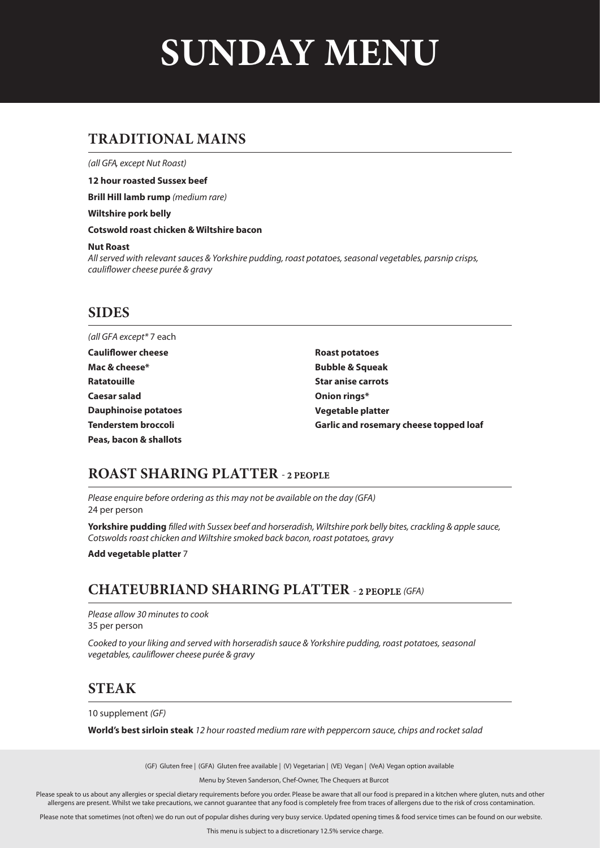# **SUNDAY MENU**

# **TRADITIONAL MAINS**

*(all GFA, except Nut Roast)*

**12 hour roasted Sussex beef**

**Brill Hill lamb rump** *(medium rare)*

**Wiltshire pork belly**

**Cotswold roast chicken & Wiltshire bacon**

#### **Nut Roast**

*All served with relevant sauces & Yorkshire pudding, roast potatoes, seasonal vegetables, parsnip crisps, cauliower cheese purée & gravy* 

#### **SIDES**

*(all GFA except\** 7 each **Roast potatoes Bubble & Squeak Star anise carrots Onion rings\* Vegetable platter Garlic and rosemary cheese topped loaf Cauliflower cheese Mac & cheese\* Ratatouille Caesar salad Dauphinoise potatoes Tenderstem broccoli Peas, bacon & shallots**

#### **ROAST SHARING PLATTER**

*Please enquire before ordering as this may not be available on the day (GFA)* 24 per person

**Yorkshire pudding** *lled with Sussex beef and horseradish, Wiltshire pork belly bites, crackling & apple sauce, Cotswolds roast chicken and Wiltshire smoked back bacon, roast potatoes, gravy*

**Add vegetable platter** 7

# **CHATEUBRIAND SHARING PLATTER** *(GFA)*

*Please allow 30 minutes to cook* 35 per person

*Cooked to your liking and served with horseradish sauce & Yorkshire pudding, roast potatoes, seasonal vegetables, cauliower cheese purée & gravy*

### **STEAK**

10 supplement *(GF)*

**World's best sirloin steak** *12 hour roasted medium rare with peppercorn sauce, chips and rocket salad*

(GF) Gluten free | (GFA) Gluten free available | (V) Vegetarian | (VE) Vegan | (VeA) Vegan option available

Menu by Steven Sanderson, Chef-Owner, The Chequers at Burcot

Please speak to us about any allergies or special dietary requirements before you order. Please be aware that all our food is prepared in a kitchen where gluten, nuts and other allergens are present. Whilst we take precautions, we cannot guarantee that any food is completely free from traces of allergens due to the risk of cross contamination.

Please note that sometimes (not often) we do run out of popular dishes during very busy service. Updated opening times & food service times can be found on our website.

This menu is subject to a discretionary 12.5% service charge.